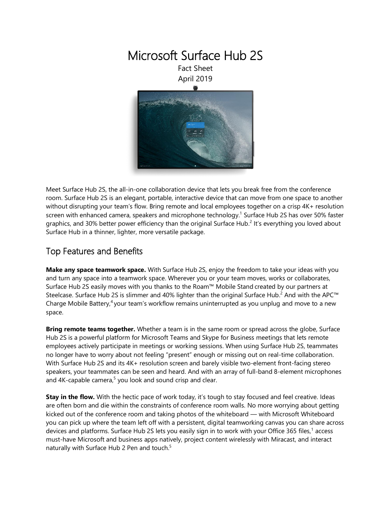

Meet Surface Hub 2S, the all-in-one collaboration device that lets you break free from the conference room. Surface Hub 2S is an elegant, portable, interactive device that can move from one space to another without disrupting your team's flow. Bring remote and local employees together on a crisp 4K+ resolution screen with enhanced camera, speakers and microphone technology.<sup>1</sup> Surface Hub 2S has over 50% faster graphics, and 30% better power efficiency than the original Surface Hub.<sup>2</sup> It's everything you loved about Surface Hub in a thinner, lighter, more versatile package.

### Top Features and Benefits

**Make any space teamwork space.** With Surface Hub 2S, enjoy the freedom to take your ideas with you and turn any space into a teamwork space. Wherever you or your team moves, works or collaborates, Surface Hub 2S easily moves with you thanks to the Roam™ Mobile Stand created by our partners at Steelcase. Surface Hub 2S is slimmer and 40% lighter than the original Surface Hub.<sup>2</sup> And with the APC<sup>™</sup> Charge Mobile Battery,<sup>4</sup> your team's workflow remains uninterrupted as you unplug and move to a new space.

**Bring remote teams together.** Whether a team is in the same room or spread across the globe, Surface Hub 2S is a powerful platform for Microsoft Teams and Skype for Business meetings that lets remote employees actively participate in meetings or working sessions. When using Surface Hub 2S, teammates no longer have to worry about not feeling "present" enough or missing out on real-time collaboration. With Surface Hub 2S and its 4K+ resolution screen and barely visible two-element front-facing stereo speakers, your teammates can be seen and heard. And with an array of full-band 8-element microphones and 4K-capable camera,<sup>5</sup> you look and sound crisp and clear.

**Stay in the flow.** With the hectic pace of work today, it's tough to stay focused and feel creative. Ideas are often born and die within the constraints of conference room walls. No more worrying about getting kicked out of the conference room and taking photos of the whiteboard — with Microsoft Whiteboard you can pick up where the team left off with a persistent, digital teamworking canvas you can share across devices and platforms. Surface Hub 2S lets you easily sign in to work with your Office 365 files,<sup>1</sup> access must-have Microsoft and business apps natively, project content wirelessly with Miracast, and interact naturally with Surface Hub 2 Pen and touch. 5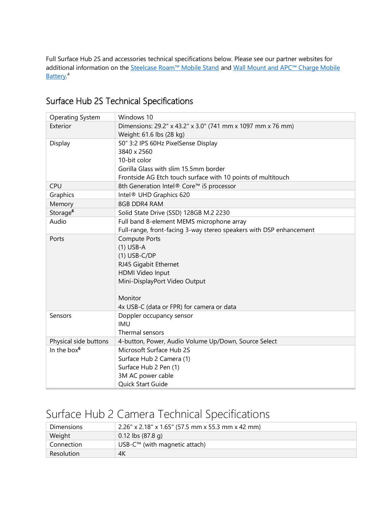Full Surface Hub 2S and accessories technical specifications below. Please see our partner websites for additional information on the [Steelcase Roam™ Mobile Stand](https://www.steelcase.com/Roam) and Wall Mount and APC™ Charge Mobile [Battery.](https://www.apc.com/us/en/campaign/apc-charge-mobile-battery-for-microsoft-surface-hub-2.jsp)<sup>4</sup>

| <b>Operating System</b> | Windows 10                                                          |  |
|-------------------------|---------------------------------------------------------------------|--|
| Exterior                | Dimensions: 29.2" x 43.2" x 3.0" (741 mm x 1097 mm x 76 mm)         |  |
|                         | Weight: 61.6 lbs (28 kg)                                            |  |
| Display                 | 50" 3:2 IPS 60Hz PixelSense Display                                 |  |
|                         | 3840 x 2560                                                         |  |
|                         | 10-bit color                                                        |  |
|                         | Gorilla Glass with slim 15.5mm border                               |  |
|                         | Frontside AG Etch touch surface with 10 points of multitouch        |  |
| <b>CPU</b>              | 8th Generation Intel® Core™ i5 processor                            |  |
| Graphics                | Intel <sup>®</sup> UHD Graphics 620                                 |  |
| Memory                  | 8GB DDR4 RAM                                                        |  |
| Storage <sup>6</sup>    | Solid State Drive (SSD) 128GB M.2 2230                              |  |
| Audio                   | Full band 8-element MEMS microphone array                           |  |
|                         | Full-range, front-facing 3-way stereo speakers with DSP enhancement |  |
| Ports                   | <b>Compute Ports</b>                                                |  |
|                         | $(1)$ USB-A                                                         |  |
|                         | $(1)$ USB-C/DP                                                      |  |
|                         | RJ45 Gigabit Ethernet                                               |  |
|                         | HDMI Video Input                                                    |  |
|                         | Mini-DisplayPort Video Output                                       |  |
|                         |                                                                     |  |
|                         | Monitor                                                             |  |
|                         | 4x USB-C (data or FPR) for camera or data                           |  |
| Sensors                 | Doppler occupancy sensor                                            |  |
|                         | <b>IMU</b>                                                          |  |
|                         | Thermal sensors                                                     |  |
| Physical side buttons   | 4-button, Power, Audio Volume Up/Down, Source Select                |  |
| In the box $6$          | Microsoft Surface Hub 2S                                            |  |
|                         | Surface Hub 2 Camera (1)                                            |  |
|                         | Surface Hub 2 Pen (1)                                               |  |
|                         | 3M AC power cable                                                   |  |
|                         | Quick Start Guide                                                   |  |

## Surface Hub 2S Technical Specifications

# Surface Hub 2 Camera Technical Specifications

| <b>Dimensions</b> | $2.26''$ x 2.18" x 1.65" (57.5 mm x 55.3 mm x 42 mm) |
|-------------------|------------------------------------------------------|
| Weight            | $0.12$ lbs (87.8 g)                                  |
| Connection        | USB- $C™$ (with magnetic attach)                     |
| Resolution        | 4Κ                                                   |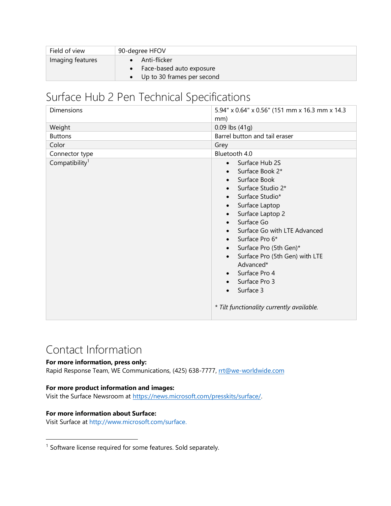| Field of view    | 90-degree HFOV             |
|------------------|----------------------------|
| Imaging features | Anti-flicker               |
|                  | Face-based auto exposure   |
|                  | Up to 30 frames per second |

# Surface Hub 2 Pen Technical Specifications

| Dimensions                 | 5.94" x 0.64" x 0.56" (151 mm x 16.3 mm x 14.3<br>mm)                                                                                                                                                                                                                                                                                                                             |
|----------------------------|-----------------------------------------------------------------------------------------------------------------------------------------------------------------------------------------------------------------------------------------------------------------------------------------------------------------------------------------------------------------------------------|
| Weight                     | $0.09$ lbs $(41q)$                                                                                                                                                                                                                                                                                                                                                                |
| <b>Buttons</b>             | Barrel button and tail eraser                                                                                                                                                                                                                                                                                                                                                     |
| Color                      | Grey                                                                                                                                                                                                                                                                                                                                                                              |
| Connector type             | Bluetooth 4.0                                                                                                                                                                                                                                                                                                                                                                     |
| Compatibility <sup>1</sup> | Surface Hub 2S<br>$\bullet$<br>Surface Book 2*<br>Surface Book<br>Surface Studio 2*<br>Surface Studio*<br>Surface Laptop<br>Surface Laptop 2<br>Surface Go<br>Surface Go with LTE Advanced<br>Surface Pro 6*<br>Surface Pro (5th Gen)*<br>Surface Pro (5th Gen) with LTE<br>Advanced*<br>Surface Pro 4<br>Surface Pro 3<br>Surface 3<br>* Tilt functionality currently available. |

## Contact Information

### **For more information, press only:**

Rapid Response Team, WE Communications, (425) 638-7777, [rrt@we-worldwide.com](mailto:rrt@waggeneredstrom.com)

### **For more product information and images:**

Visit the Surface Newsroom at [https://news.microsoft.com/presskits/surface/.](https://news.microsoft.com/presskits/surface/)

#### **For more information about Surface:**

 $\overline{\phantom{a}}$ 

Visit Surface at [http://www.microsoft.com/surface.](http://www.microsoft.com/surface)

<sup>&</sup>lt;sup>1</sup> Software license required for some features. Sold separately.